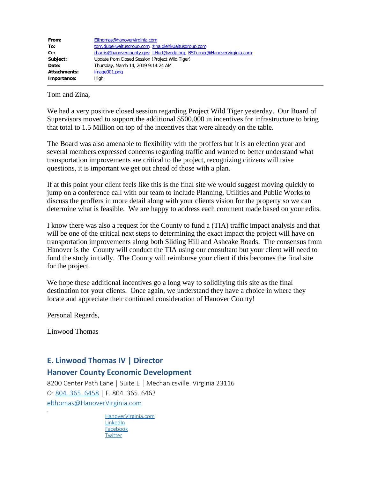| From:        | Elthomas@hanovervirginia.com                                            |
|--------------|-------------------------------------------------------------------------|
| To:          | tom.dubel@altusgroup.com; zina.diehl@altusgroup.com                     |
| $Cc$ :       | rharris@hanovercounty.gov; LHurt@vedp.org; BSTurner@Hanovervirginia.com |
| Subject:     | Update from Closed Session (Project Wild Tiger)                         |
| Date:        | Thursday, March 14, 2019 9:14:24 AM                                     |
| Attachments: | image001.png                                                            |
| Importance:  | High                                                                    |
|              |                                                                         |

Tom and Zina,

We had a very positive closed session regarding Project Wild Tiger yesterday. Our Board of Supervisors moved to support the additional \$500,000 in incentives for infrastructure to bring that total to 1.5 Million on top of the incentives that were already on the table.

The Board was also amenable to flexibility with the proffers but it is an election year and several members expressed concerns regarding traffic and wanted to better understand what transportation improvements are critical to the project, recognizing citizens will raise questions, it is important we get out ahead of those with a plan.

If at this point your client feels like this is the final site we would suggest moving quickly to jump on a conference call with our team to include Planning, Utilities and Public Works to discuss the proffers in more detail along with your clients vision for the property so we can determine what is feasible. We are happy to address each comment made based on your edits.

I know there was also a request for the County to fund a (TIA) traffic impact analysis and that will be one of the critical next steps to determining the exact impact the project will have on transportation improvements along both Sliding Hill and Ashcake Roads. The consensus from Hanover is the County will conduct the TIA using our consultant but your client will need to fund the study initially. The County will reimburse your client if this becomes the final site for the project.

We hope these additional incentives go a long way to solidifying this site as the final destination for your clients. Once again, we understand they have a choice in where they locate and appreciate their continued consideration of Hanover County!

Personal Regards,

Linwood Thomas

## **E. Linwood Thomas IV | Director**

## **Hanover County Economic Development**

8200 Center Path Lane | Suite E | Mechanicsville. Virginia 23116 O: 804. 365. [6458](tel:1-804-365-6458) | F. 804. 365. 6463 [elthomas@HanoverVirginia.com](mailto:elthomas@HanoverVirginia.com)

> [HanoverVirginia.com](http://www.hanovervirginia.com/) **[LinkedIn](http://www.linkedin.com/company/5356169) [Facebook](http://www.facebook.com/pages/Hanover-County-Economic-Development/80475251807) [Twitter](https://twitter.com/HanoverBiz)**